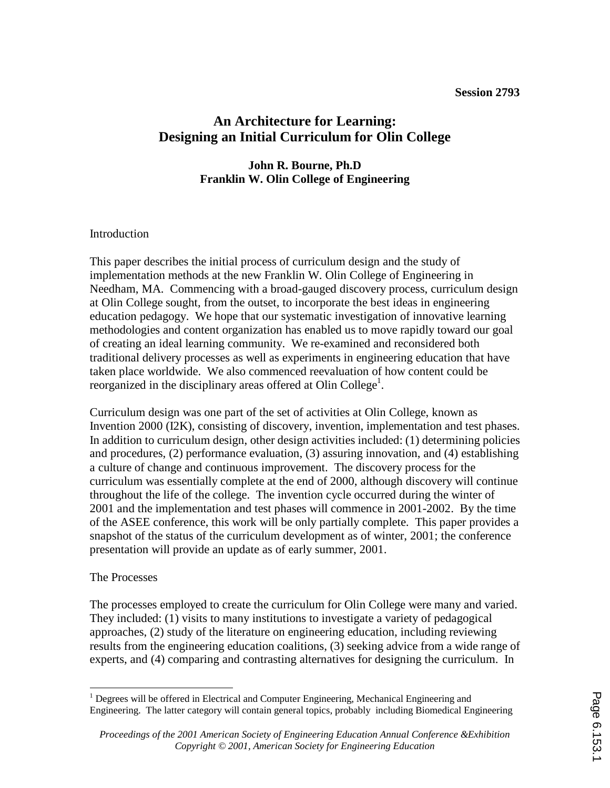# **An Architecture for Learning: Designing an Initial Curriculum for Olin College**

### **John R. Bourne, Ph.D Franklin W. Olin College of Engineering**

#### **Introduction**

This paper describes the initial process of curriculum design and the study of implementation methods at the new Franklin W. Olin College of Engineering in Needham, MA. Commencing with a broad-gauged discovery process, curriculum design at Olin College sought, from the outset, to incorporate the best ideas in engineering education pedagogy. We hope that our systematic investigation of innovative learning methodologies and content organization has enabled us to move rapidly toward our goal of creating an ideal learning community. We re-examined and reconsidered both traditional delivery processes as well as experiments in engineering education that have taken place worldwide. We also commenced reevaluation of how content could be reorganized in the disciplinary areas offered at Olin College<sup>1</sup>.

Curriculum design was one part of the set of activities at Olin College, known as Invention 2000 (I2K), consisting of discovery, invention, implementation and test phases. In addition to curriculum design, other design activities included: (1) determining policies and procedures, (2) performance evaluation, (3) assuring innovation, and (4) establishing a culture of change and continuous improvement. The discovery process for the curriculum was essentially complete at the end of 2000, although discovery will continue throughout the life of the college. The invention cycle occurred during the winter of 2001 and the implementation and test phases will commence in 2001-2002. By the time of the ASEE conference, this work will be only partially complete. This paper provides a snapshot of the status of the curriculum development as of winter, 2001; the conference presentation will provide an update as of early summer, 2001.

#### The Processes

The processes employed to create the curriculum for Olin College were many and varied. They included: (1) visits to many institutions to investigate a variety of pedagogical approaches, (2) study of the literature on engineering education, including reviewing results from the engineering education coalitions, (3) seeking advice from a wide range of experts, and (4) comparing and contrasting alternatives for designing the curriculum. In

 1 Degrees will be offered in Electrical and Computer Engineering, Mechanical Engineering and Engineering. The latter category will contain general topics, probably including Biomedical Engineering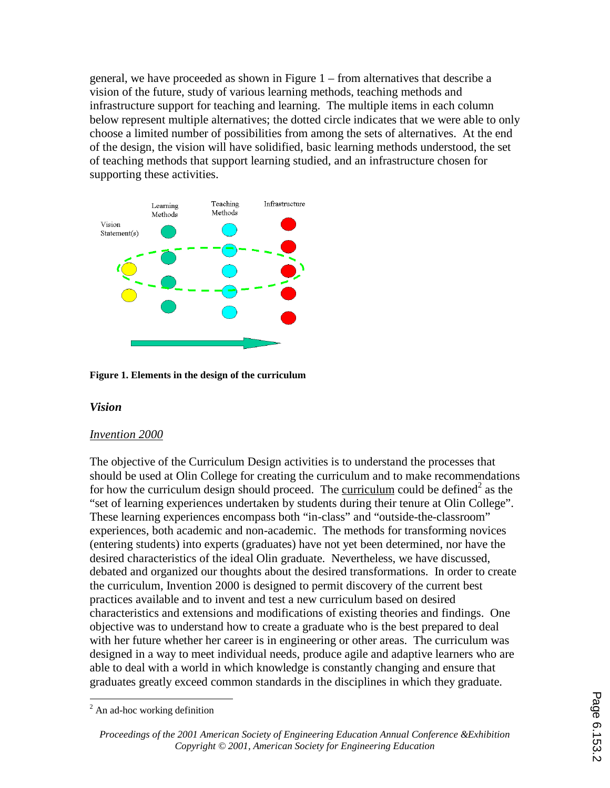general, we have proceeded as shown in Figure 1 – from alternatives that describe a vision of the future, study of various learning methods, teaching methods and infrastructure support for teaching and learning. The multiple items in each column below represent multiple alternatives; the dotted circle indicates that we were able to only choose a limited number of possibilities from among the sets of alternatives. At the end of the design, the vision will have solidified, basic learning methods understood, the set of teaching methods that support learning studied, and an infrastructure chosen for supporting these activities.



**Figure 1. Elements in the design of the curriculum** 

### *Vision*

#### *Invention 2000*

The objective of the Curriculum Design activities is to understand the processes that should be used at Olin College for creating the curriculum and to make recommendations for how the curriculum design should proceed. The curriculum could be defined<sup>2</sup> as the "set of learning experiences undertaken by students during their tenure at Olin College". These learning experiences encompass both "in-class" and "outside-the-classroom" experiences, both academic and non-academic. The methods for transforming novices (entering students) into experts (graduates) have not yet been determined, nor have the desired characteristics of the ideal Olin graduate. Nevertheless, we have discussed, debated and organized our thoughts about the desired transformations. In order to create the curriculum, Invention 2000 is designed to permit discovery of the current best practices available and to invent and test a new curriculum based on desired characteristics and extensions and modifications of existing theories and findings. One objective was to understand how to create a graduate who is the best prepared to deal with her future whether her career is in engineering or other areas. The curriculum was designed in a way to meet individual needs, produce agile and adaptive learners who are able to deal with a world in which knowledge is constantly changing and ensure that graduates greatly exceed common standards in the disciplines in which they graduate.

 $\overline{a}$  $2$  An ad-hoc working definition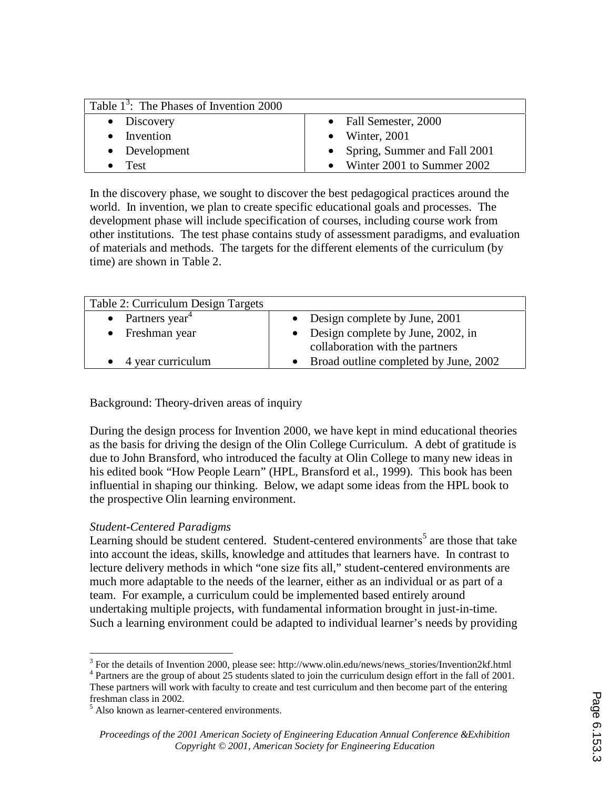| Table $1^3$ : The Phases of Invention 2000 |                                |
|--------------------------------------------|--------------------------------|
| $\bullet$ Discovery                        | • Fall Semester, 2000          |
| • Invention                                | • Winter, $2001$               |
| • Development                              | • Spring, Summer and Fall 2001 |
| $\bullet$ Test                             | • Winter 2001 to Summer 2002   |

In the discovery phase, we sought to discover the best pedagogical practices around the world. In invention, we plan to create specific educational goals and processes. The development phase will include specification of courses, including course work from other institutions. The test phase contains study of assessment paradigms, and evaluation of materials and methods. The targets for the different elements of the curriculum (by time) are shown in Table 2.

| Table 2: Curriculum Design Targets |                                                                        |
|------------------------------------|------------------------------------------------------------------------|
| • Partners year <sup>4</sup>       | • Design complete by June, $2001$                                      |
| • Freshman year                    | • Design complete by June, 2002, in<br>collaboration with the partners |
| 4 year curriculum                  | • Broad outline completed by June, 2002                                |

Background: Theory-driven areas of inquiry

During the design process for Invention 2000, we have kept in mind educational theories as the basis for driving the design of the Olin College Curriculum. A debt of gratitude is due to John Bransford, who introduced the faculty at Olin College to many new ideas in his edited book "How People Learn" (HPL, Bransford et al., 1999). This book has been influential in shaping our thinking. Below, we adapt some ideas from the HPL book to the prospective Olin learning environment.

### *Student-Centered Paradigms*

Learning should be student centered. Student-centered environments<sup>5</sup> are those that take into account the ideas, skills, knowledge and attitudes that learners have. In contrast to lecture delivery methods in which "one size fits all," student-centered environments are much more adaptable to the needs of the learner, either as an individual or as part of a team. For example, a curriculum could be implemented based entirely around undertaking multiple projects, with fundamental information brought in just-in-time. Such a learning environment could be adapted to individual learner's needs by providing

<sup>&</sup>lt;sup>2</sup><br>3

<sup>&</sup>lt;sup>3</sup> For the details of Invention 2000, please see: http://www.olin.edu/news/news\_stories/Invention2kf.html  $4$  Partners are the group of about 25 students slated to join the curriculum design effort in the fall of 2001. These partners will work with faculty to create and test curriculum and then become part of the entering

freshman class in 2002. 5 Also known as learner-centered environments.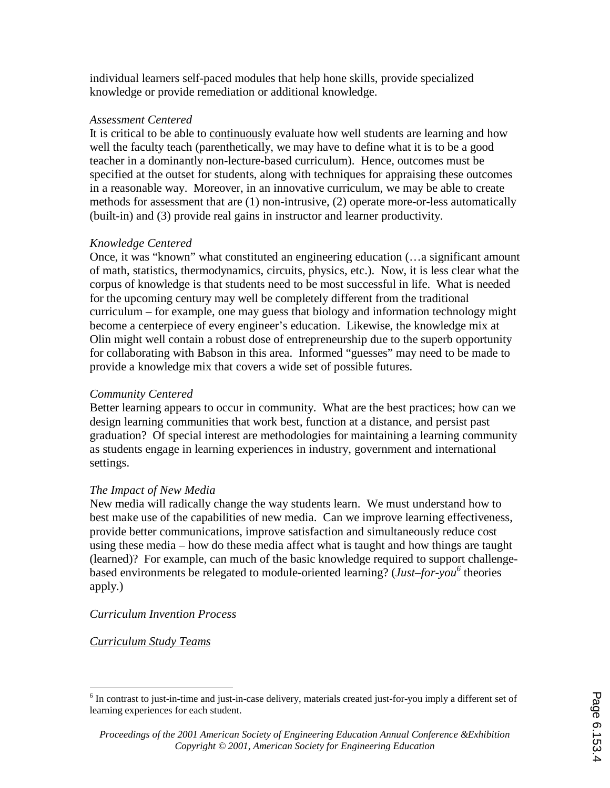individual learners self-paced modules that help hone skills, provide specialized knowledge or provide remediation or additional knowledge.

#### *Assessment Centered*

It is critical to be able to continuously evaluate how well students are learning and how well the faculty teach (parenthetically, we may have to define what it is to be a good teacher in a dominantly non-lecture-based curriculum). Hence, outcomes must be specified at the outset for students, along with techniques for appraising these outcomes in a reasonable way. Moreover, in an innovative curriculum, we may be able to create methods for assessment that are (1) non-intrusive, (2) operate more-or-less automatically (built-in) and (3) provide real gains in instructor and learner productivity.

### *Knowledge Centered*

Once, it was "known" what constituted an engineering education (…a significant amount of math, statistics, thermodynamics, circuits, physics, etc.). Now, it is less clear what the corpus of knowledge is that students need to be most successful in life. What is needed for the upcoming century may well be completely different from the traditional curriculum – for example, one may guess that biology and information technology might become a centerpiece of every engineer's education. Likewise, the knowledge mix at Olin might well contain a robust dose of entrepreneurship due to the superb opportunity for collaborating with Babson in this area. Informed "guesses" may need to be made to provide a knowledge mix that covers a wide set of possible futures.

### *Community Centered*

Better learning appears to occur in community. What are the best practices; how can we design learning communities that work best, function at a distance, and persist past graduation? Of special interest are methodologies for maintaining a learning community as students engage in learning experiences in industry, government and international settings.

### *The Impact of New Media*

New media will radically change the way students learn. We must understand how to best make use of the capabilities of new media. Can we improve learning effectiveness, provide better communications, improve satisfaction and simultaneously reduce cost using these media – how do these media affect what is taught and how things are taught (learned)? For example, can much of the basic knowledge required to support challengebased environments be relegated to module-oriented learning? (*Just–for-you*<sup>6</sup> theories apply.)

### *Curriculum Invention Process*

*Curriculum Study Teams*

<sup>&</sup>lt;sup>6</sup> In contrast to just-in-time and just-in-case delivery, materials created just-for-you imply a different set of learning experiences for each student.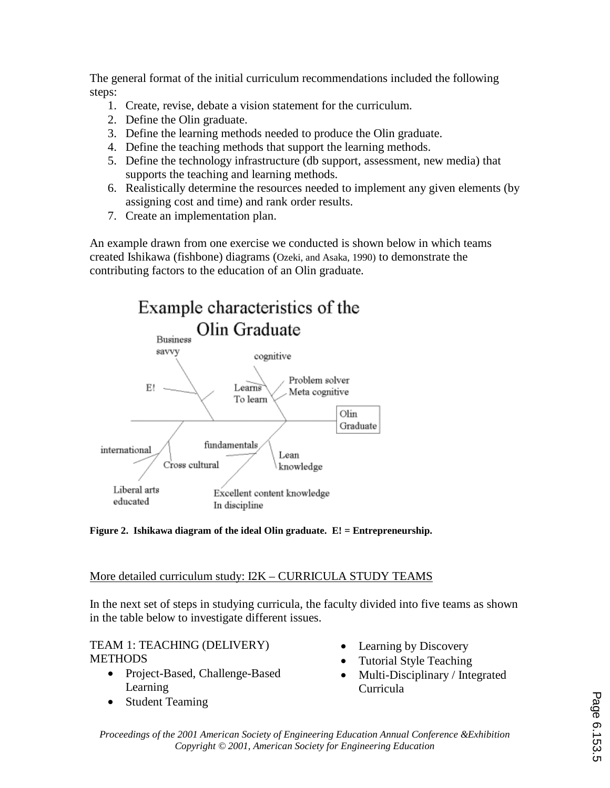The general format of the initial curriculum recommendations included the following steps:

- 1. Create, revise, debate a vision statement for the curriculum.
- 2. Define the Olin graduate.
- 3. Define the learning methods needed to produce the Olin graduate.
- 4. Define the teaching methods that support the learning methods.
- 5. Define the technology infrastructure (db support, assessment, new media) that supports the teaching and learning methods.
- 6. Realistically determine the resources needed to implement any given elements (by assigning cost and time) and rank order results.
- 7. Create an implementation plan.

An example drawn from one exercise we conducted is shown below in which teams created Ishikawa (fishbone) diagrams (Ozeki, and Asaka, 1990) to demonstrate the contributing factors to the education of an Olin graduate.



**Figure 2. Ishikawa diagram of the ideal Olin graduate. E! = Entrepreneurship.** 

# More detailed curriculum study: I2K – CURRICULA STUDY TEAMS

In the next set of steps in studying curricula, the faculty divided into five teams as shown in the table below to investigate different issues.

### TEAM 1: TEACHING (DELIVERY) **METHODS**

- Project-Based, Challenge-Based Learning
- Student Teaming
- Learning by Discovery
- Tutorial Style Teaching
- Multi-Disciplinary / Integrated Curricula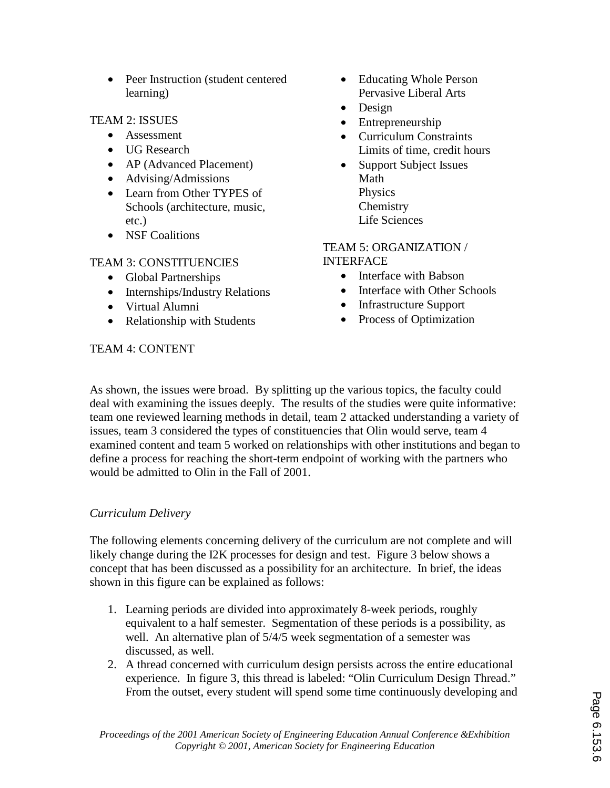• Peer Instruction (student centered learning)

## TEAM 2: ISSUES

- Assessment
- UG Research
- AP (Advanced Placement)
- Advising/Admissions
- Learn from Other TYPES of Schools (architecture, music, etc.)
- NSF Coalitions

# TEAM 3: CONSTITUENCIES

- Global Partnerships
- Internships/Industry Relations
- Virtual Alumni
- Relationship with Students

### • Educating Whole Person Pervasive Liberal Arts

- Design
- Entrepreneurship
- Curriculum Constraints Limits of time, credit hours
- Support Subject Issues Math Physics Chemistry Life Sciences

#### TEAM 5: ORGANIZATION / **INTERFACE**

- Interface with Babson
- Interface with Other Schools
- Infrastructure Support
- Process of Optimization

### TEAM 4: CONTENT

As shown, the issues were broad. By splitting up the various topics, the faculty could deal with examining the issues deeply. The results of the studies were quite informative: team one reviewed learning methods in detail, team 2 attacked understanding a variety of issues, team 3 considered the types of constituencies that Olin would serve, team 4 examined content and team 5 worked on relationships with other institutions and began to define a process for reaching the short-term endpoint of working with the partners who would be admitted to Olin in the Fall of 2001.

# *Curriculum Delivery*

The following elements concerning delivery of the curriculum are not complete and will likely change during the I2K processes for design and test. Figure 3 below shows a concept that has been discussed as a possibility for an architecture. In brief, the ideas shown in this figure can be explained as follows:

- 1. Learning periods are divided into approximately 8-week periods, roughly equivalent to a half semester. Segmentation of these periods is a possibility, as well. An alternative plan of  $5/4/5$  week segmentation of a semester was discussed, as well.
- 2. A thread concerned with curriculum design persists across the entire educational experience. In figure 3, this thread is labeled: "Olin Curriculum Design Thread." From the outset, every student will spend some time continuously developing and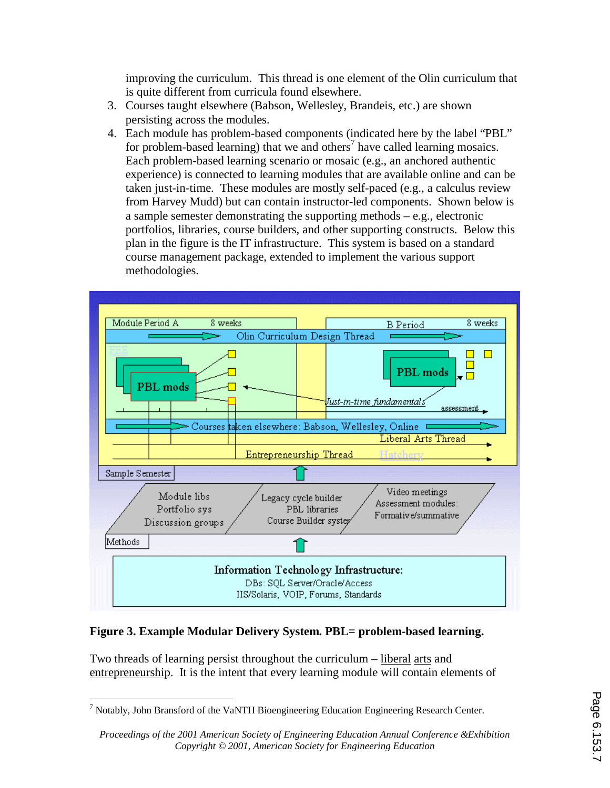improving the curriculum. This thread is one element of the Olin curriculum that is quite different from curricula found elsewhere.

- 3. Courses taught elsewhere (Babson, Wellesley, Brandeis, etc.) are shown persisting across the modules.
- 4. Each module has problem-based components (indicated here by the label "PBL" for problem-based learning) that we and others<sup>7</sup> have called learning mosaics. Each problem-based learning scenario or mosaic (e.g., an anchored authentic experience) is connected to learning modules that are available online and can be taken just-in-time. These modules are mostly self-paced (e.g., a calculus review from Harvey Mudd) but can contain instructor-led components. Shown below is a sample semester demonstrating the supporting methods – e.g., electronic portfolios, libraries, course builders, and other supporting constructs. Below this plan in the figure is the IT infrastructure. This system is based on a standard course management package, extended to implement the various support methodologies.



### **Figure 3. Example Modular Delivery System. PBL= problem-based learning.**

Two threads of learning persist throughout the curriculum – liberal arts and entrepreneurship. It is the intent that every learning module will contain elements of

 $\overline{a}$  $^7$  Notably, John Bransford of the VaNTH Bioengineering Education Engineering Research Center.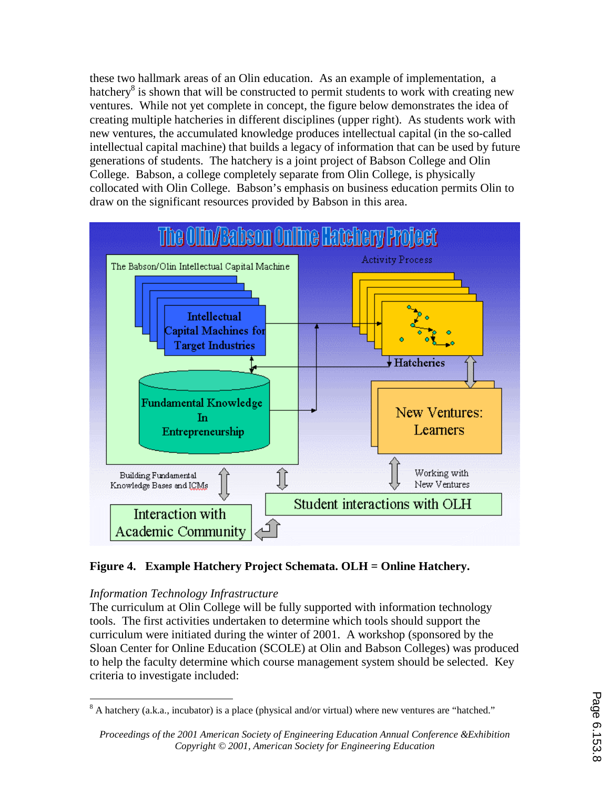these two hallmark areas of an Olin education. As an example of implementation, a hatchery<sup>8</sup> is shown that will be constructed to permit students to work with creating new ventures. While not yet complete in concept, the figure below demonstrates the idea of creating multiple hatcheries in different disciplines (upper right). As students work with new ventures, the accumulated knowledge produces intellectual capital (in the so-called intellectual capital machine) that builds a legacy of information that can be used by future generations of students. The hatchery is a joint project of Babson College and Olin College. Babson, a college completely separate from Olin College, is physically collocated with Olin College. Babson's emphasis on business education permits Olin to draw on the significant resources provided by Babson in this area.



# **Figure 4. Example Hatchery Project Schemata. OLH = Online Hatchery.**

# *Information Technology Infrastructure*

The curriculum at Olin College will be fully supported with information technology tools. The first activities undertaken to determine which tools should support the curriculum were initiated during the winter of 2001. A workshop (sponsored by the Sloan Center for Online Education (SCOLE) at Olin and Babson Colleges) was produced to help the faculty determine which course management system should be selected. Key criteria to investigate included:

<sup>&</sup>lt;sup>8</sup> A hatchery (a.k.a., incubator) is a place (physical and/or virtual) where new ventures are "hatched."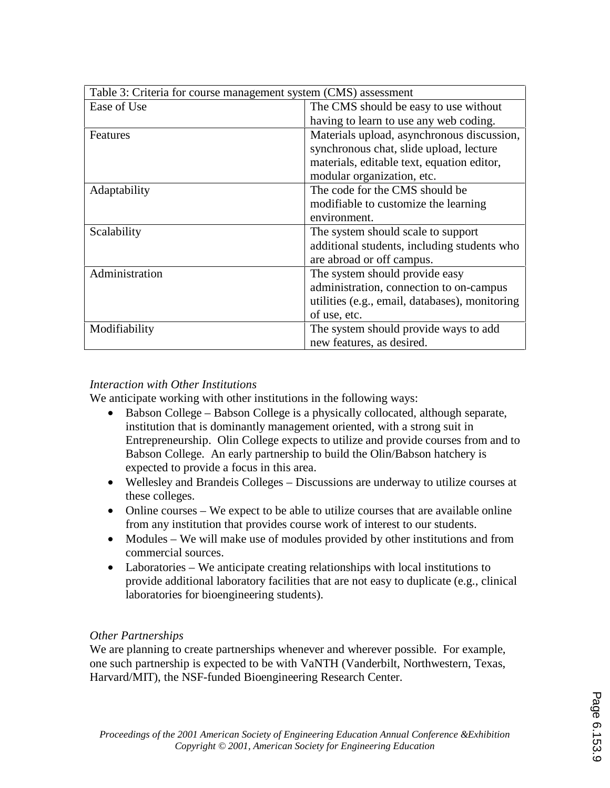| Table 3: Criteria for course management system (CMS) assessment |                                                |  |  |  |
|-----------------------------------------------------------------|------------------------------------------------|--|--|--|
| Ease of Use                                                     | The CMS should be easy to use without          |  |  |  |
|                                                                 | having to learn to use any web coding.         |  |  |  |
| Features                                                        | Materials upload, asynchronous discussion,     |  |  |  |
|                                                                 | synchronous chat, slide upload, lecture        |  |  |  |
|                                                                 | materials, editable text, equation editor,     |  |  |  |
|                                                                 | modular organization, etc.                     |  |  |  |
| Adaptability                                                    | The code for the CMS should be                 |  |  |  |
|                                                                 | modifiable to customize the learning           |  |  |  |
|                                                                 | environment.                                   |  |  |  |
| Scalability                                                     | The system should scale to support             |  |  |  |
|                                                                 | additional students, including students who    |  |  |  |
|                                                                 | are abroad or off campus.                      |  |  |  |
| Administration                                                  | The system should provide easy                 |  |  |  |
|                                                                 | administration, connection to on-campus        |  |  |  |
|                                                                 | utilities (e.g., email, databases), monitoring |  |  |  |
|                                                                 | of use, etc.                                   |  |  |  |
| Modifiability                                                   | The system should provide ways to add          |  |  |  |
|                                                                 | new features, as desired.                      |  |  |  |

### *Interaction with Other Institutions*

We anticipate working with other institutions in the following ways:

- Babson College Babson College is a physically collocated, although separate, institution that is dominantly management oriented, with a strong suit in Entrepreneurship. Olin College expects to utilize and provide courses from and to Babson College. An early partnership to build the Olin/Babson hatchery is expected to provide a focus in this area.
- Wellesley and Brandeis Colleges Discussions are underway to utilize courses at these colleges.
- Online courses We expect to be able to utilize courses that are available online from any institution that provides course work of interest to our students.
- Modules We will make use of modules provided by other institutions and from commercial sources.
- Laboratories We anticipate creating relationships with local institutions to provide additional laboratory facilities that are not easy to duplicate (e.g., clinical laboratories for bioengineering students).

### *Other Partnerships*

We are planning to create partnerships whenever and wherever possible. For example, one such partnership is expected to be with VaNTH (Vanderbilt, Northwestern, Texas, Harvard/MIT), the NSF-funded Bioengineering Research Center.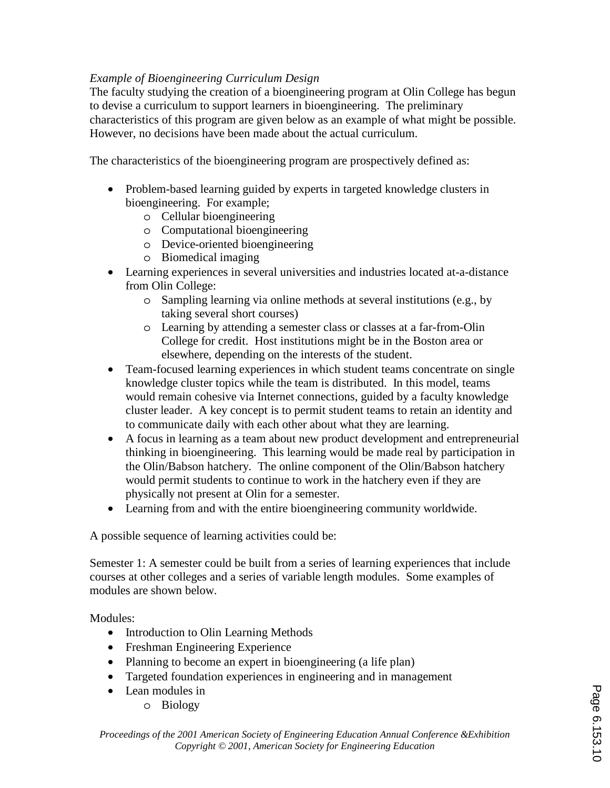## *Example of Bioengineering Curriculum Design*

The faculty studying the creation of a bioengineering program at Olin College has begun to devise a curriculum to support learners in bioengineering. The preliminary characteristics of this program are given below as an example of what might be possible. However, no decisions have been made about the actual curriculum.

The characteristics of the bioengineering program are prospectively defined as:

- Problem-based learning guided by experts in targeted knowledge clusters in bioengineering. For example;
	- o Cellular bioengineering
	- o Computational bioengineering
	- o Device-oriented bioengineering
	- o Biomedical imaging
- Learning experiences in several universities and industries located at-a-distance from Olin College:
	- o Sampling learning via online methods at several institutions (e.g., by taking several short courses)
	- o Learning by attending a semester class or classes at a far-from-Olin College for credit. Host institutions might be in the Boston area or elsewhere, depending on the interests of the student.
- Team-focused learning experiences in which student teams concentrate on single knowledge cluster topics while the team is distributed. In this model, teams would remain cohesive via Internet connections, guided by a faculty knowledge cluster leader. A key concept is to permit student teams to retain an identity and to communicate daily with each other about what they are learning.
- A focus in learning as a team about new product development and entrepreneurial thinking in bioengineering. This learning would be made real by participation in the Olin/Babson hatchery. The online component of the Olin/Babson hatchery would permit students to continue to work in the hatchery even if they are physically not present at Olin for a semester.
- Learning from and with the entire bioengineering community worldwide.

A possible sequence of learning activities could be:

Semester 1: A semester could be built from a series of learning experiences that include courses at other colleges and a series of variable length modules. Some examples of modules are shown below.

Modules:

- Introduction to Olin Learning Methods
- Freshman Engineering Experience
- Planning to become an expert in bioengineering (a life plan)
- Targeted foundation experiences in engineering and in management
- Lean modules in
	- o Biology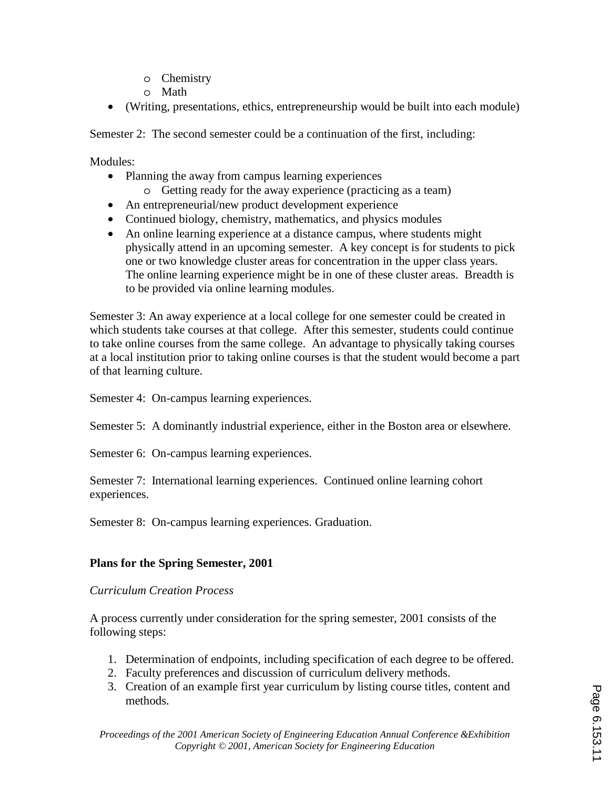- o Chemistry
- o Math
- (Writing, presentations, ethics, entrepreneurship would be built into each module)

Semester 2: The second semester could be a continuation of the first, including:

Modules:

- Planning the away from campus learning experiences
	- o Getting ready for the away experience (practicing as a team)
- An entrepreneurial/new product development experience
- Continued biology, chemistry, mathematics, and physics modules
- An online learning experience at a distance campus, where students might physically attend in an upcoming semester. A key concept is for students to pick one or two knowledge cluster areas for concentration in the upper class years. The online learning experience might be in one of these cluster areas. Breadth is to be provided via online learning modules.

Semester 3: An away experience at a local college for one semester could be created in which students take courses at that college. After this semester, students could continue to take online courses from the same college. An advantage to physically taking courses at a local institution prior to taking online courses is that the student would become a part of that learning culture.

Semester 4: On-campus learning experiences.

Semester 5: A dominantly industrial experience, either in the Boston area or elsewhere.

Semester 6: On-campus learning experiences.

Semester 7: International learning experiences. Continued online learning cohort experiences.

Semester 8: On-campus learning experiences. Graduation.

# **Plans for the Spring Semester, 2001**

*Curriculum Creation Process* 

A process currently under consideration for the spring semester, 2001 consists of the following steps:

- 1. Determination of endpoints, including specification of each degree to be offered.
- 2. Faculty preferences and discussion of curriculum delivery methods.
- 3. Creation of an example first year curriculum by listing course titles, content and methods.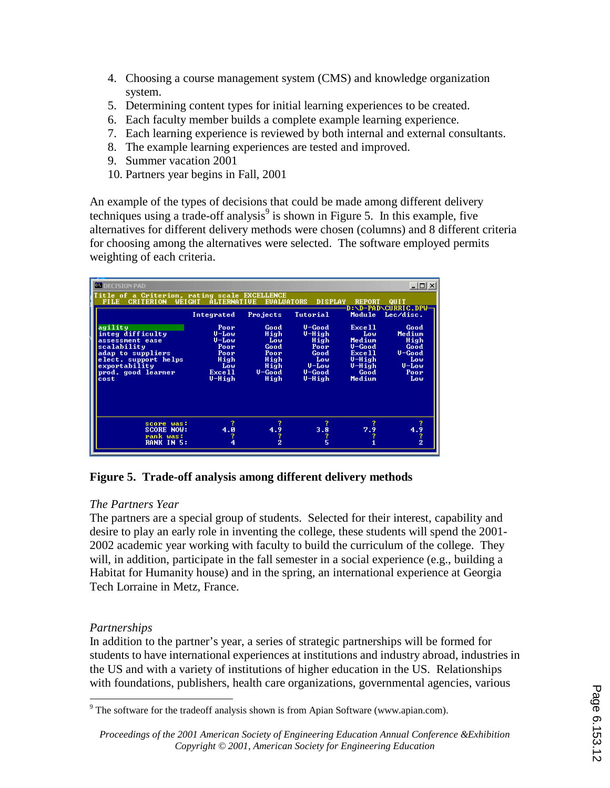- 4. Choosing a course management system (CMS) and knowledge organization system.
- 5. Determining content types for initial learning experiences to be created.
- 6. Each faculty member builds a complete example learning experience.
- 7. Each learning experience is reviewed by both internal and external consultants.
- 8. The example learning experiences are tested and improved.
- 9. Summer vacation 2001
- 10. Partners year begins in Fall, 2001

An example of the types of decisions that could be made among different delivery techniques using a trade-off analysis<sup>9</sup> is shown in Figure 5. In this example, five alternatives for different delivery methods were chosen (columns) and 8 different criteria for choosing among the alternatives were selected. The software employed permits weighting of each criteria.

| <b>CN DECISION PAD</b>                                                                                                                                    |                                                                                  |                                                                       |                                                                                     |                                                                                                          | $ \Box$ $\times$                                                               |
|-----------------------------------------------------------------------------------------------------------------------------------------------------------|----------------------------------------------------------------------------------|-----------------------------------------------------------------------|-------------------------------------------------------------------------------------|----------------------------------------------------------------------------------------------------------|--------------------------------------------------------------------------------|
| Title of a Criterion, rating scale EXCELLENCE<br><b>FILE</b><br><b>WEIGHT</b><br><b>CRITERION</b>                                                         | <b>ALTERNATIVE</b>                                                               | <b>EUALUATORS</b>                                                     | <b>DISPLAY</b>                                                                      | <b>REPORT</b>                                                                                            | QUIT<br>D:\D-PAD\CURRIC.DPW-                                                   |
|                                                                                                                                                           | Integrated                                                                       | Projects                                                              | Tutorial                                                                            | Module                                                                                                   | Lec/disc.                                                                      |
| agility<br>integ difficulty<br>assessment ease<br>scalability<br>adap to suppliers<br>elect. support helps<br>exportability<br>prod. good learner<br>cost | Poor<br>$U$ –Low<br>$U$ –Low<br>Poor<br>Poor<br>High<br>Low<br>Exce 11<br>U-High | Good<br>High<br>Low<br>Good<br>Poor<br>High<br>High<br>U-Good<br>High | $U - Good$<br>U-High<br>High<br>Poor<br>Good<br>Low<br>$U$ –Low<br>U-Good<br>U-High | Exce 11<br>Low<br>Medium<br>$U - Good$<br>Exce <sub>11</sub><br>$U$ -High<br>$U$ -High<br>Good<br>Medium | Good<br>Medium<br>High<br>Good<br>$U - Good$<br>Low<br>$U$ –Low<br>Poor<br>Low |
| score was:<br><b>SCORE NOW:</b><br>rank was:<br><b>RANK IN 5:</b>                                                                                         | 4.0                                                                              | 4.9<br>$\overline{2}$                                                 | 3.8                                                                                 | 7.9                                                                                                      | 4.9<br>2                                                                       |

**Figure 5. Trade-off analysis among different delivery methods** 

# *The Partners Year*

The partners are a special group of students. Selected for their interest, capability and desire to play an early role in inventing the college, these students will spend the 2001- 2002 academic year working with faculty to build the curriculum of the college. They will, in addition, participate in the fall semester in a social experience (e.g., building a Habitat for Humanity house) and in the spring, an international experience at Georgia Tech Lorraine in Metz, France.

# *Partnerships*

In addition to the partner's year, a series of strategic partnerships will be formed for students to have international experiences at institutions and industry abroad, industries in the US and with a variety of institutions of higher education in the US. Relationships with foundations, publishers, health care organizations, governmental agencies, various

<sup>&</sup>lt;sup>9</sup> The software for the tradeoff analysis shown is from Apian Software (www.apian.com).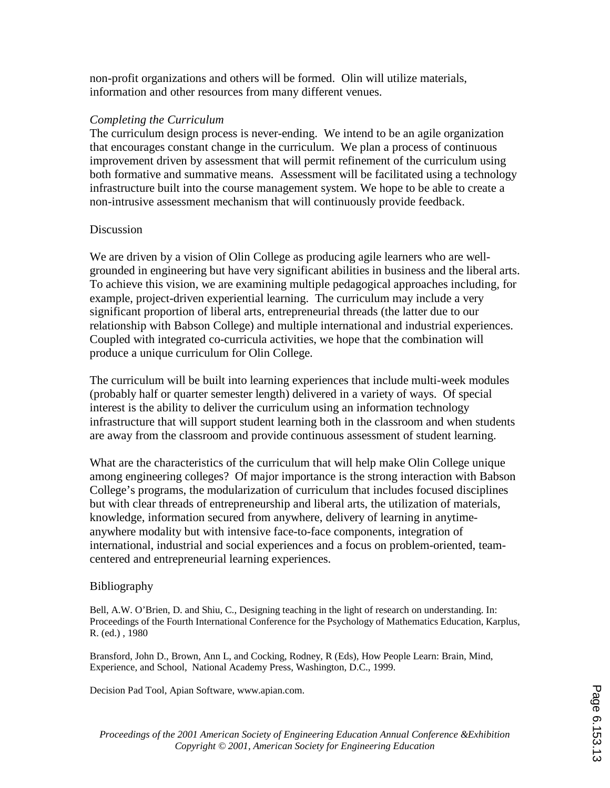non-profit organizations and others will be formed. Olin will utilize materials, information and other resources from many different venues.

#### *Completing the Curriculum*

The curriculum design process is never-ending. We intend to be an agile organization that encourages constant change in the curriculum. We plan a process of continuous improvement driven by assessment that will permit refinement of the curriculum using both formative and summative means. Assessment will be facilitated using a technology infrastructure built into the course management system. We hope to be able to create a non-intrusive assessment mechanism that will continuously provide feedback.

#### **Discussion**

We are driven by a vision of Olin College as producing agile learners who are wellgrounded in engineering but have very significant abilities in business and the liberal arts. To achieve this vision, we are examining multiple pedagogical approaches including, for example, project-driven experiential learning. The curriculum may include a very significant proportion of liberal arts, entrepreneurial threads (the latter due to our relationship with Babson College) and multiple international and industrial experiences. Coupled with integrated co-curricula activities, we hope that the combination will produce a unique curriculum for Olin College.

The curriculum will be built into learning experiences that include multi-week modules (probably half or quarter semester length) delivered in a variety of ways. Of special interest is the ability to deliver the curriculum using an information technology infrastructure that will support student learning both in the classroom and when students are away from the classroom and provide continuous assessment of student learning.

What are the characteristics of the curriculum that will help make Olin College unique among engineering colleges? Of major importance is the strong interaction with Babson College's programs, the modularization of curriculum that includes focused disciplines but with clear threads of entrepreneurship and liberal arts, the utilization of materials, knowledge, information secured from anywhere, delivery of learning in anytimeanywhere modality but with intensive face-to-face components, integration of international, industrial and social experiences and a focus on problem-oriented, teamcentered and entrepreneurial learning experiences.

### Bibliography

Bell, A.W. O'Brien, D. and Shiu, C., Designing teaching in the light of research on understanding. In: Proceedings of the Fourth International Conference for the Psychology of Mathematics Education, Karplus, R. (ed.) , 1980

Bransford, John D., Brown, Ann L, and Cocking, Rodney, R (Eds), How People Learn: Brain, Mind, Experience, and School, National Academy Press, Washington, D.C., 1999.

Decision Pad Tool, Apian Software, www.apian.com.